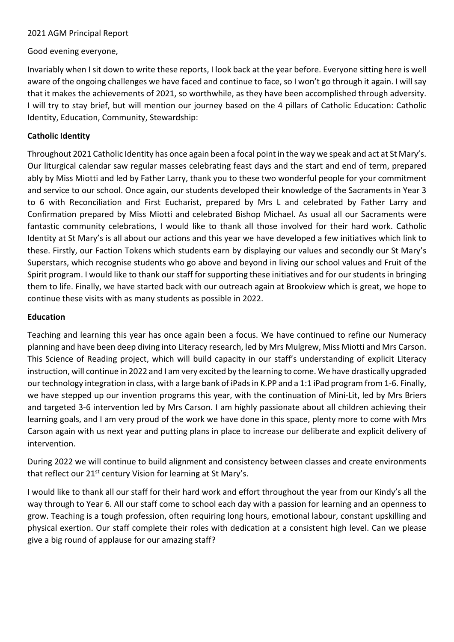### 2021 AGM Principal Report

### Good evening everyone,

Invariably when I sit down to write these reports, I look back at the year before. Everyone sitting here is well aware of the ongoing challenges we have faced and continue to face, so I won't go through it again. I will say that it makes the achievements of 2021, so worthwhile, as they have been accomplished through adversity. I will try to stay brief, but will mention our journey based on the 4 pillars of Catholic Education: Catholic Identity, Education, Community, Stewardship:

## **Catholic Identity**

Throughout 2021 Catholic Identity has once again been a focal point in the way we speak and act at St Mary's. Our liturgical calendar saw regular masses celebrating feast days and the start and end of term, prepared ably by Miss Miotti and led by Father Larry, thank you to these two wonderful people for your commitment and service to our school. Once again, our students developed their knowledge of the Sacraments in Year 3 to 6 with Reconciliation and First Eucharist, prepared by Mrs L and celebrated by Father Larry and Confirmation prepared by Miss Miotti and celebrated Bishop Michael. As usual all our Sacraments were fantastic community celebrations, I would like to thank all those involved for their hard work. Catholic Identity at St Mary's is all about our actions and this year we have developed a few initiatives which link to these. Firstly, our Faction Tokens which students earn by displaying our values and secondly our St Mary's Superstars, which recognise students who go above and beyond in living our school values and Fruit of the Spirit program. I would like to thank our staff for supporting these initiatives and for our students in bringing them to life. Finally, we have started back with our outreach again at Brookview which is great, we hope to continue these visits with as many students as possible in 2022.

#### **Education**

Teaching and learning this year has once again been a focus. We have continued to refine our Numeracy planning and have been deep diving into Literacy research, led by Mrs Mulgrew, Miss Miotti and Mrs Carson. This Science of Reading project, which will build capacity in our staff's understanding of explicit Literacy instruction, will continue in 2022 and I am very excited by the learning to come. We have drastically upgraded our technology integration in class, with a large bank of iPads in K.PP and a 1:1 iPad program from 1-6. Finally, we have stepped up our invention programs this year, with the continuation of Mini-Lit, led by Mrs Briers and targeted 3-6 intervention led by Mrs Carson. I am highly passionate about all children achieving their learning goals, and I am very proud of the work we have done in this space, plenty more to come with Mrs Carson again with us next year and putting plans in place to increase our deliberate and explicit delivery of intervention.

During 2022 we will continue to build alignment and consistency between classes and create environments that reflect our 21<sup>st</sup> century Vision for learning at St Mary's.

I would like to thank all our staff for their hard work and effort throughout the year from our Kindy's all the way through to Year 6. All our staff come to school each day with a passion for learning and an openness to grow. Teaching is a tough profession, often requiring long hours, emotional labour, constant upskilling and physical exertion. Our staff complete their roles with dedication at a consistent high level. Can we please give a big round of applause for our amazing staff?